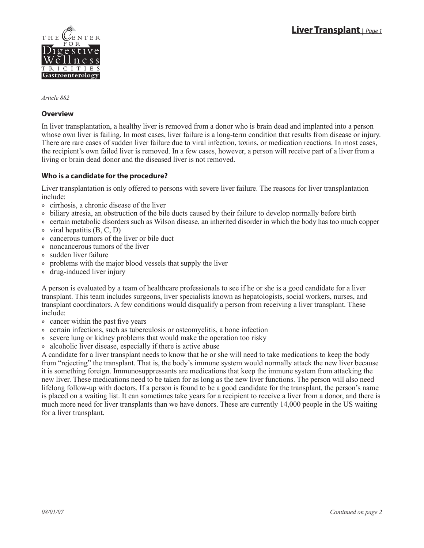

*Article 882*

#### **Overview**

In liver transplantation, a healthy liver is removed from a donor who is brain dead and implanted into a person whose own liver is failing. In most cases, liver failure is a long-term condition that results from disease or injury. There are rare cases of sudden liver failure due to viral infection, toxins, or medication reactions. In most cases, the recipient's own failed liver is removed. In a few cases, however, a person will receive part of a liver from a living or brain dead donor and the diseased liver is not removed.

### **Who is a candidate for the procedure?**

Liver transplantation is only offered to persons with severe liver failure. The reasons for liver transplantation include:

- cirrhosis, a chronic disease of the liver »
- biliary atresia, an obstruction of the bile ducts caused by their failure to develop normally before birth »
- » certain metabolic disorders such as Wilson disease, an inherited disorder in which the body has too much copper
- $\ast$  viral hepatitis (B, C, D)
- » cancerous tumors of the liver or bile duct
- noncancerous tumors of the liver »
- sudden liver failure »
- problems with the major blood vessels that supply the liver »
- drug-induced liver injury »

A person is evaluated by a team of healthcare professionals to see if he or she is a good candidate for a liver transplant. This team includes surgeons, liver specialists known as hepatologists, social workers, nurses, and transplant coordinators. A few conditions would disqualify a person from receiving a liver transplant. These include:

- cancer within the past five years »
- » certain infections, such as tuberculosis or osteomyelitis, a bone infection
- » severe lung or kidney problems that would make the operation too risky
- » alcoholic liver disease, especially if there is active abuse

A candidate for a liver transplant needs to know that he or she will need to take medications to keep the body from "rejecting" the transplant. That is, the body's immune system would normally attack the new liver because it is something foreign. Immunosuppressants are medications that keep the immune system from attacking the new liver. These medications need to be taken for as long as the new liver functions. The person will also need lifelong follow-up with doctors. If a person is found to be a good candidate for the transplant, the person's name is placed on a waiting list. It can sometimes take years for a recipient to receive a liver from a donor, and there is much more need for liver transplants than we have donors. These are currently 14,000 people in the US waiting for a liver transplant.